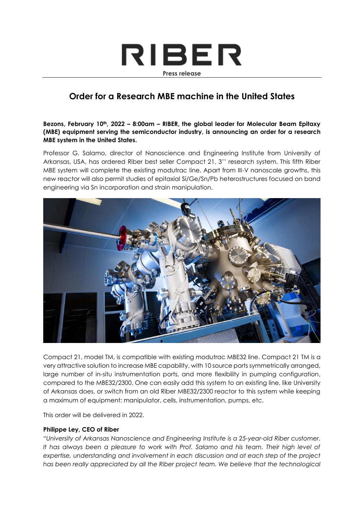# RIBER **Press release**

## **Order for a Research MBE machine in the United States**

#### **Bezons, February 10th, 2022 – 8:00am – RIBER, the global leader for Molecular Beam Epitaxy (MBE) equipment serving the semiconductor industry, is announcing an order for a research MBE system in the United States.**

Professor G. Salamo, director of Nanoscience and Engineering Institute from University of Arkansas, USA, has ordered Riber best seller Compact 21, 3'' research system. This fifth Riber MBE system will complete the existing modutrac line. Apart from III-V nanoscale growths, this new reactor will also permit studies of epitaxial Si/Ge/Sn/Pb heterostructures focused on band engineering via Sn incorporation and strain manipulation.



Compact 21, model TM, is compatible with existing modutrac MBE32 line. Compact 21 TM is a very attractive solution to increase MBE capability, with 10 source ports symmetrically arranged, large number of in-situ instrumentation ports, and more flexibility in pumping configuration, compared to the MBE32/2300. One can easily add this system to an existing line, like University of Arkansas does, or switch from an old Riber MBE32/2300 reactor to this system while keeping a maximum of equipment: manipulator, cells, instrumentation, pumps, etc.

This order will be delivered in 2022.

#### **Philippe Ley, CEO of Riber**

"*University of Arkansas Nanoscience and Engineering Institute is a 25-year-old Riber customer.* It has always been a pleasure to work with Prof. Salamo and his team. Their high level of *expertise, understanding and involvement in each discussion and at each step of the project*  has been really appreciated by all the Riber project team. We believe that the technological